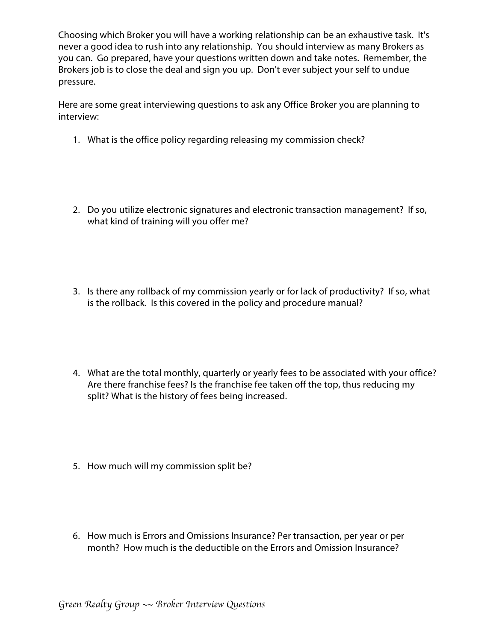Choosing which Broker you will have a working relationship can be an exhaustive task. It's never a good idea to rush into any relationship. You should interview as many Brokers as you can. Go prepared, have your questions written down and take notes. Remember, the Brokers job is to close the deal and sign you up. Don't ever subject your self to undue pressure.

Here are some great interviewing questions to ask any Office Broker you are planning to interview:

- 1. What is the office policy regarding releasing my commission check?
- 2. Do you utilize electronic signatures and electronic transaction management? If so, what kind of training will you offer me?
- 3. Is there any rollback of my commission yearly or for lack of productivity? If so, what is the rollback. Is this covered in the policy and procedure manual?
- 4. What are the total monthly, quarterly or yearly fees to be associated with your office? Are there franchise fees? Is the franchise fee taken off the top, thus reducing my split? What is the history of fees being increased.
- 5. How much will my commission split be?
- 6. How much is Errors and Omissions Insurance? Per transaction, per year or per month? How much is the deductible on the Errors and Omission Insurance?